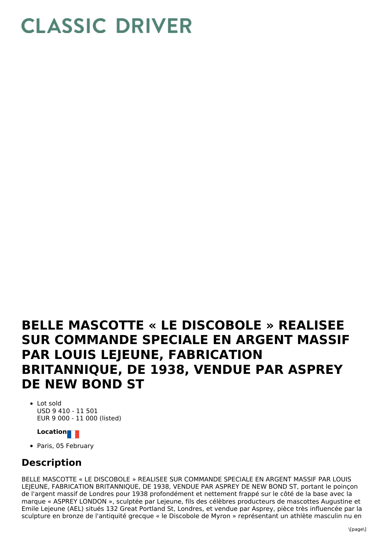## **CLASSIC DRIVER**

## **BELLE MASCOTTE « LE DISCOBOLE » REALISEE SUR COMMANDE SPECIALE EN ARGENT MASSIF PAR LOUIS LEJEUNE, FABRICATION BRITANNIQUE, DE 1938, VENDUE PAR ASPREY DE NEW BOND ST**

• Lot sold USD 9 410 - 11 501 EUR 9 000 - 11 000 (listed)

## **Location**

• Paris, 05 February

## **Description**

BELLE MASCOTTE « LE DISCOBOLE » REALISEE SUR COMMANDE SPECIALE EN ARGENT MASSIF PAR LOUIS LEIEUNE, FABRICATION BRITANNIQUE, DE 1938, VENDUE PAR ASPREY DE NEW BOND ST, portant le poincon de l'argent massif de Londres pour 1938 profondément et nettement frappé sur le côté de la base avec la marque « ASPREY LONDON », sculptée par Lejeune, fils des célèbres producteurs de mascottes Augustine et Emile Lejeune (AEL) situés 132 Great Portland St, Londres, et vendue par Asprey, pièce très influencée par la sculpture en bronze de l'antiquité grecque « le Discobole de Myron » représentant un athlète masculin nu en